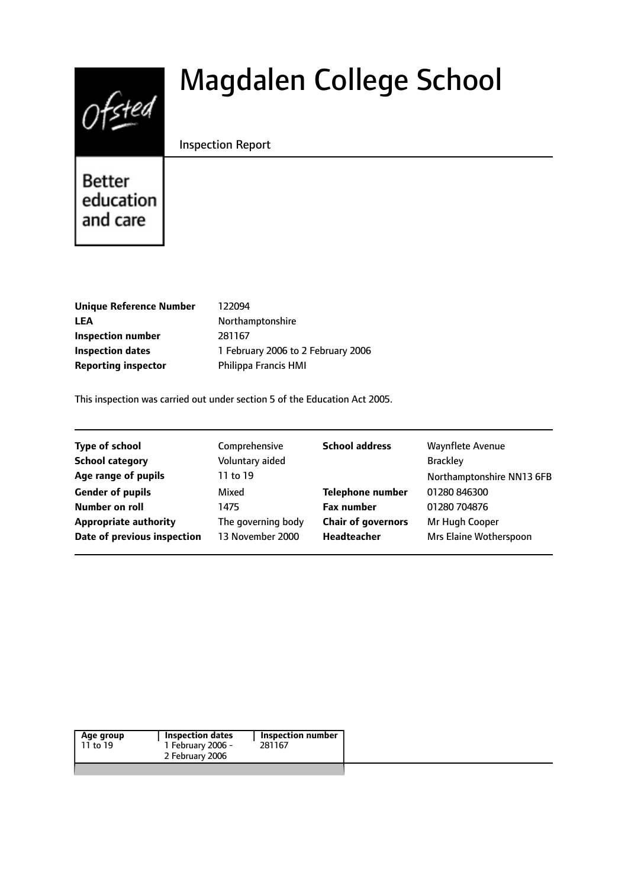# $0$ fsted

# Magdalen College School

#### Inspection Report

**Better** education and care

**Unique Reference Number** 122094 LEA Northamptonshire **Inspection number** 281167 **Reporting inspector** Philippa Francis HMI

**Inspection dates** 1 February 2006 to 2 February 2006

This inspection was carried out under section 5 of the Education Act 2005.

| <b>Type of school</b>        | Comprehensive      | <b>School address</b>     | Waynflete Avenue          |
|------------------------------|--------------------|---------------------------|---------------------------|
| <b>School category</b>       | Voluntary aided    |                           | <b>Brackley</b>           |
| Age range of pupils          | 11 to 19           |                           | Northamptonshire NN13 6FB |
| <b>Gender of pupils</b>      | Mixed              | <b>Telephone number</b>   | 01280 846300              |
| Number on roll               | 1475               | <b>Fax number</b>         | 01280 704876              |
| <b>Appropriate authority</b> | The governing body | <b>Chair of governors</b> | Mr Hugh Cooper            |
| Date of previous inspection  | 13 November 2000   | Headteacher               | Mrs Elaine Wotherspoon    |
|                              |                    |                           |                           |

| 1 February 2006 -<br>11 to 19<br>281167 |  |
|-----------------------------------------|--|
|                                         |  |
| 2 February 2006                         |  |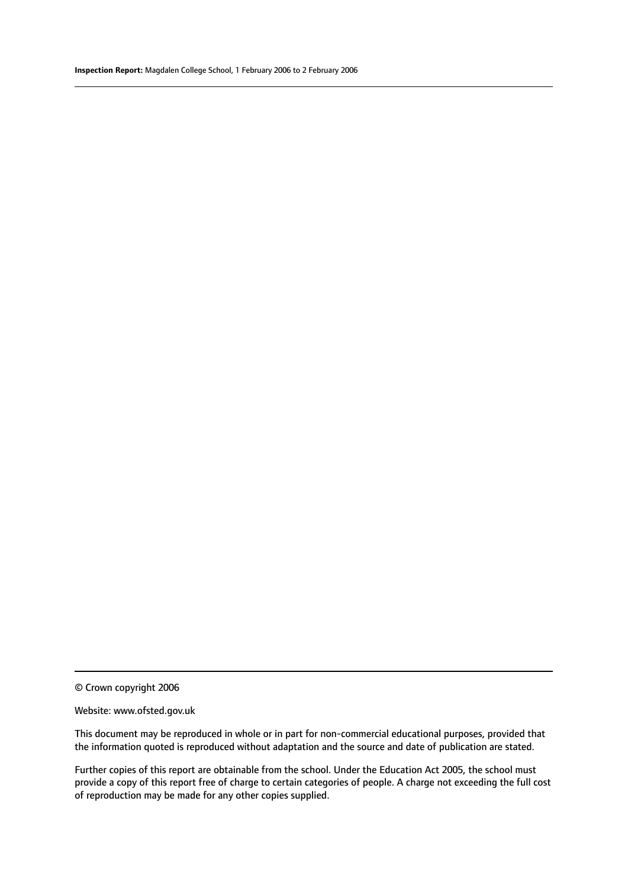© Crown copyright 2006

#### Website: www.ofsted.gov.uk

This document may be reproduced in whole or in part for non-commercial educational purposes, provided that the information quoted is reproduced without adaptation and the source and date of publication are stated.

Further copies of this report are obtainable from the school. Under the Education Act 2005, the school must provide a copy of this report free of charge to certain categories of people. A charge not exceeding the full cost of reproduction may be made for any other copies supplied.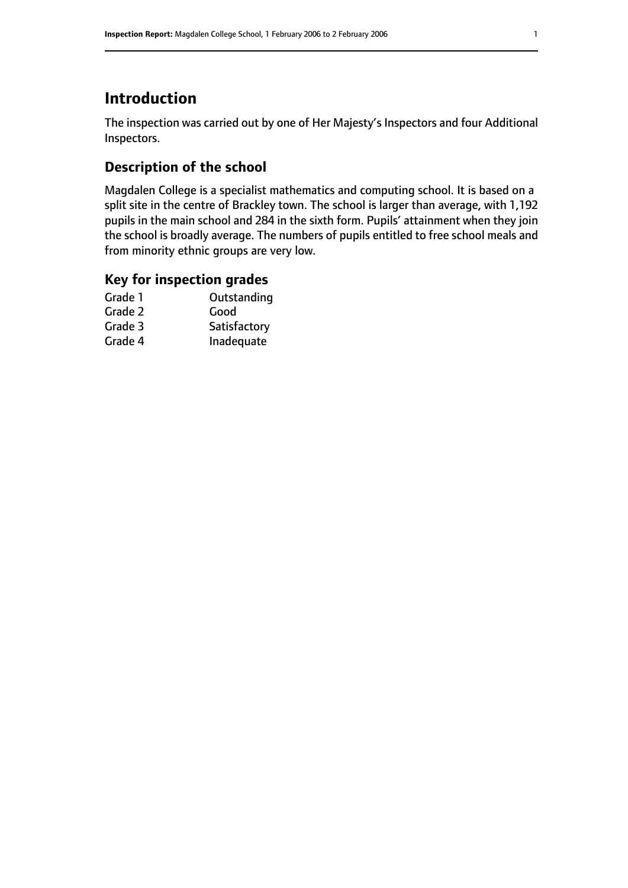## **Introduction**

The inspection was carried out by one of Her Majesty's Inspectors and four Additional Inspectors.

#### **Description of the school**

Magdalen College is a specialist mathematics and computing school. It is based on a split site in the centre of Brackley town. The school is larger than average, with 1,192 pupils in the main school and 284 in the sixth form. Pupils' attainment when they join the school is broadly average. The numbers of pupils entitled to free school meals and from minority ethnic groups are very low.

#### **Key for inspection grades**

| Outstanding  |
|--------------|
| Good         |
| Satisfactory |
| Inadequate   |
|              |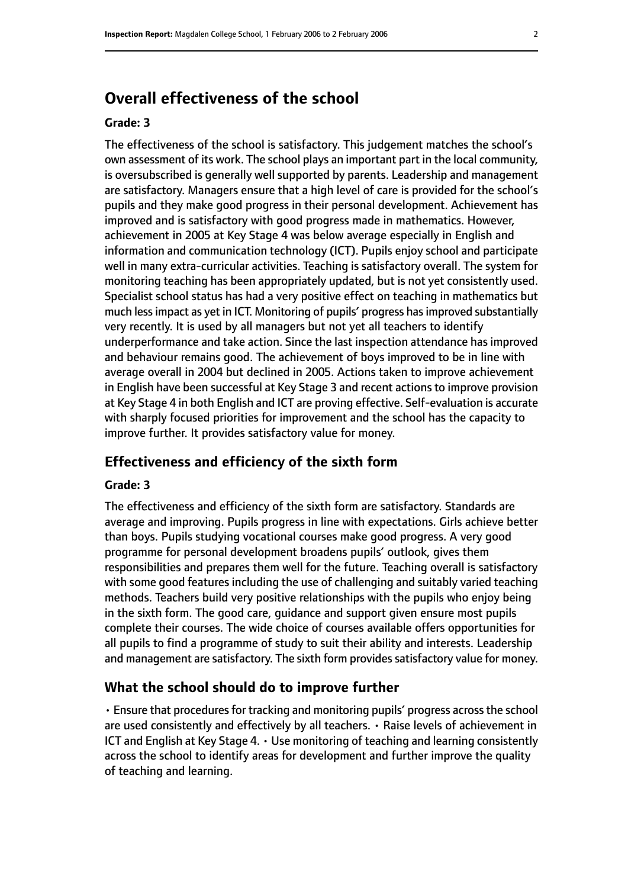# **Overall effectiveness of the school**

#### **Grade: 3**

The effectiveness of the school is satisfactory. This judgement matches the school's own assessment of its work. The school plays an important part in the local community, is oversubscribed is generally well supported by parents. Leadership and management are satisfactory. Managers ensure that a high level of care is provided for the school's pupils and they make good progress in their personal development. Achievement has improved and is satisfactory with good progress made in mathematics. However, achievement in 2005 at Key Stage 4 was below average especially in English and information and communication technology (ICT). Pupils enjoy school and participate well in many extra-curricular activities. Teaching is satisfactory overall. The system for monitoring teaching has been appropriately updated, but is not yet consistently used. Specialist school status has had a very positive effect on teaching in mathematics but much less impact as yet in ICT. Monitoring of pupils' progress has improved substantially very recently. It is used by all managers but not yet all teachers to identify underperformance and take action. Since the last inspection attendance has improved and behaviour remains good. The achievement of boys improved to be in line with average overall in 2004 but declined in 2005. Actions taken to improve achievement in English have been successful at Key Stage 3 and recent actions to improve provision at Key Stage 4 in both English and ICT are proving effective. Self-evaluation is accurate with sharply focused priorities for improvement and the school has the capacity to improve further. It provides satisfactory value for money.

#### **Effectiveness and efficiency of the sixth form**

#### **Grade: 3**

The effectiveness and efficiency of the sixth form are satisfactory. Standards are average and improving. Pupils progress in line with expectations. Girls achieve better than boys. Pupils studying vocational courses make good progress. A very good programme for personal development broadens pupils' outlook, gives them responsibilities and prepares them well for the future. Teaching overall is satisfactory with some good features including the use of challenging and suitably varied teaching methods. Teachers build very positive relationships with the pupils who enjoy being in the sixth form. The good care, guidance and support given ensure most pupils complete their courses. The wide choice of courses available offers opportunities for all pupils to find a programme of study to suit their ability and interests. Leadership and management are satisfactory. The sixth form provides satisfactory value for money.

#### **What the school should do to improve further**

• Ensure that procedures for tracking and monitoring pupils' progress across the school are used consistently and effectively by all teachers. • Raise levels of achievement in ICT and English at Key Stage 4. • Use monitoring of teaching and learning consistently across the school to identify areas for development and further improve the quality of teaching and learning.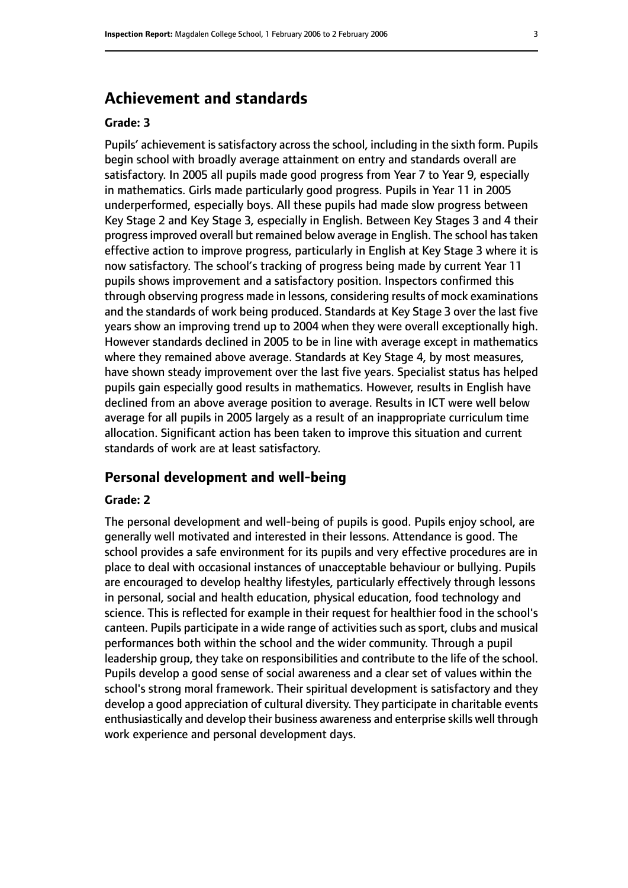### **Achievement and standards**

#### **Grade: 3**

Pupils' achievement is satisfactory across the school, including in the sixth form. Pupils begin school with broadly average attainment on entry and standards overall are satisfactory. In 2005 all pupils made good progress from Year 7 to Year 9, especially in mathematics. Girls made particularly good progress. Pupils in Year 11 in 2005 underperformed, especially boys. All these pupils had made slow progress between Key Stage 2 and Key Stage 3, especially in English. Between Key Stages 3 and 4 their progress improved overall but remained below average in English. The school has taken effective action to improve progress, particularly in English at Key Stage 3 where it is now satisfactory. The school's tracking of progress being made by current Year 11 pupils shows improvement and a satisfactory position. Inspectors confirmed this through observing progress made in lessons, considering results of mock examinations and the standards of work being produced. Standards at Key Stage 3 over the last five years show an improving trend up to 2004 when they were overall exceptionally high. However standards declined in 2005 to be in line with average except in mathematics where they remained above average. Standards at Key Stage 4, by most measures, have shown steady improvement over the last five years. Specialist status has helped pupils gain especially good results in mathematics. However, results in English have declined from an above average position to average. Results in ICT were well below average for all pupils in 2005 largely as a result of an inappropriate curriculum time allocation. Significant action has been taken to improve this situation and current standards of work are at least satisfactory.

#### **Personal development and well-being**

#### **Grade: 2**

The personal development and well-being of pupils is good. Pupils enjoy school, are generally well motivated and interested in their lessons. Attendance is good. The school provides a safe environment for its pupils and very effective procedures are in place to deal with occasional instances of unacceptable behaviour or bullying. Pupils are encouraged to develop healthy lifestyles, particularly effectively through lessons in personal, social and health education, physical education, food technology and science. This is reflected for example in their request for healthier food in the school's canteen. Pupils participate in a wide range of activities such as sport, clubs and musical performances both within the school and the wider community. Through a pupil leadership group, they take on responsibilities and contribute to the life of the school. Pupils develop a good sense of social awareness and a clear set of values within the school's strong moral framework. Their spiritual development is satisfactory and they develop a good appreciation of cultural diversity. They participate in charitable events enthusiastically and develop their business awareness and enterprise skills well through work experience and personal development days.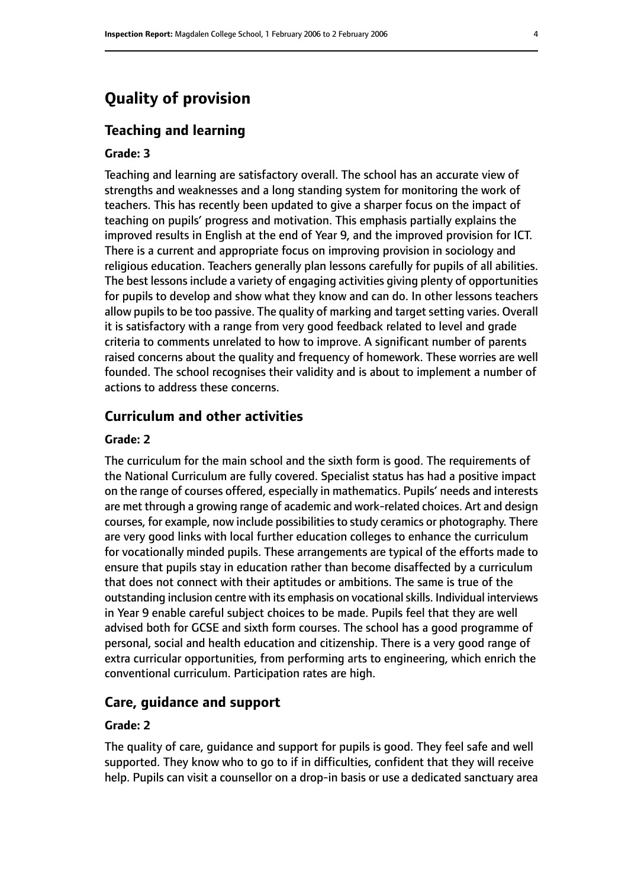# **Quality of provision**

#### **Teaching and learning**

#### **Grade: 3**

Teaching and learning are satisfactory overall. The school has an accurate view of strengths and weaknesses and a long standing system for monitoring the work of teachers. This has recently been updated to give a sharper focus on the impact of teaching on pupils' progress and motivation. This emphasis partially explains the improved results in English at the end of Year 9, and the improved provision for ICT. There is a current and appropriate focus on improving provision in sociology and religious education. Teachers generally plan lessons carefully for pupils of all abilities. The best lessons include a variety of engaging activities giving plenty of opportunities for pupils to develop and show what they know and can do. In other lessons teachers allow pupils to be too passive. The quality of marking and target setting varies. Overall it is satisfactory with a range from very good feedback related to level and grade criteria to comments unrelated to how to improve. A significant number of parents raised concerns about the quality and frequency of homework. These worries are well founded. The school recognises their validity and is about to implement a number of actions to address these concerns.

#### **Curriculum and other activities**

#### **Grade: 2**

The curriculum for the main school and the sixth form is good. The requirements of the National Curriculum are fully covered. Specialist status has had a positive impact on the range of courses offered, especially in mathematics. Pupils' needs and interests are met through a growing range of academic and work-related choices. Art and design courses, for example, now include possibilities to study ceramics or photography. There are very good links with local further education colleges to enhance the curriculum for vocationally minded pupils. These arrangements are typical of the efforts made to ensure that pupils stay in education rather than become disaffected by a curriculum that does not connect with their aptitudes or ambitions. The same is true of the outstanding inclusion centre with its emphasis on vocational skills. Individual interviews in Year 9 enable careful subject choices to be made. Pupils feel that they are well advised both for GCSE and sixth form courses. The school has a good programme of personal, social and health education and citizenship. There is a very good range of extra curricular opportunities, from performing arts to engineering, which enrich the conventional curriculum. Participation rates are high.

#### **Care, guidance and support**

#### **Grade: 2**

The quality of care, guidance and support for pupils is good. They feel safe and well supported. They know who to go to if in difficulties, confident that they will receive help. Pupils can visit a counsellor on a drop-in basis or use a dedicated sanctuary area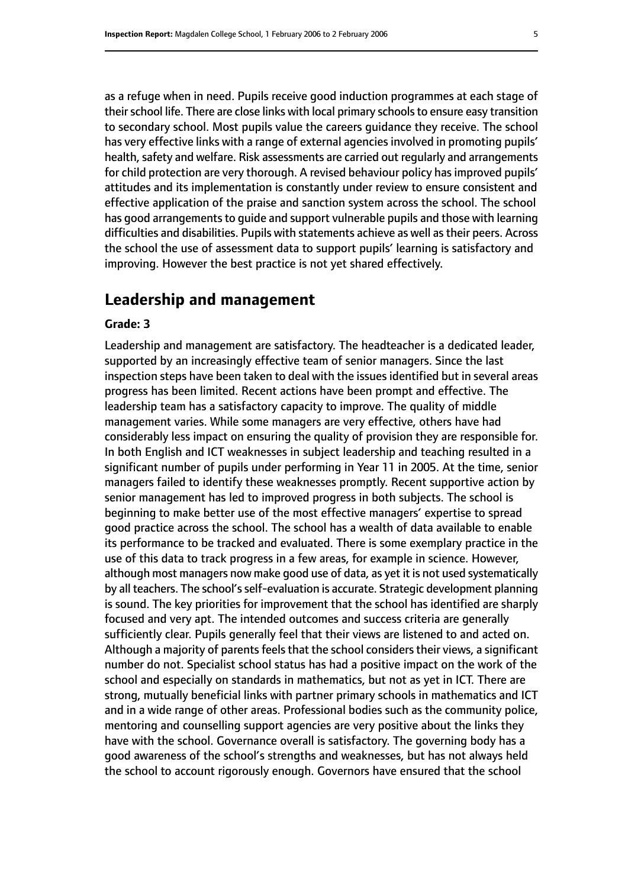as a refuge when in need. Pupils receive good induction programmes at each stage of their school life. There are close links with local primary schools to ensure easy transition to secondary school. Most pupils value the careers guidance they receive. The school has very effective links with a range of external agencies involved in promoting pupils' health, safety and welfare. Risk assessments are carried out reqularly and arrangements for child protection are very thorough. A revised behaviour policy has improved pupils' attitudes and its implementation is constantly under review to ensure consistent and effective application of the praise and sanction system across the school. The school has good arrangements to guide and support vulnerable pupils and those with learning difficulties and disabilities. Pupils with statements achieve as well as their peers. Across the school the use of assessment data to support pupils' learning is satisfactory and improving. However the best practice is not yet shared effectively.

#### **Leadership and management**

#### **Grade: 3**

Leadership and management are satisfactory. The headteacher is a dedicated leader, supported by an increasingly effective team of senior managers. Since the last inspection steps have been taken to deal with the issues identified but in several areas progress has been limited. Recent actions have been prompt and effective. The leadership team has a satisfactory capacity to improve. The quality of middle management varies. While some managers are very effective, others have had considerably less impact on ensuring the quality of provision they are responsible for. In both English and ICT weaknesses in subject leadership and teaching resulted in a significant number of pupils under performing in Year 11 in 2005. At the time, senior managers failed to identify these weaknesses promptly. Recent supportive action by senior management has led to improved progress in both subjects. The school is beginning to make better use of the most effective managers' expertise to spread good practice across the school. The school has a wealth of data available to enable its performance to be tracked and evaluated. There is some exemplary practice in the use of this data to track progress in a few areas, for example in science. However, although most managers now make good use of data, as yet it is not used systematically by all teachers. The school's self-evaluation is accurate. Strategic development planning is sound. The key priorities for improvement that the school has identified are sharply focused and very apt. The intended outcomes and success criteria are generally sufficiently clear. Pupils generally feel that their views are listened to and acted on. Although a majority of parents feels that the school considers their views, a significant number do not. Specialist school status has had a positive impact on the work of the school and especially on standards in mathematics, but not as yet in ICT. There are strong, mutually beneficial links with partner primary schools in mathematics and ICT and in a wide range of other areas. Professional bodies such as the community police, mentoring and counselling support agencies are very positive about the links they have with the school. Governance overall is satisfactory. The governing body has a good awareness of the school's strengths and weaknesses, but has not always held the school to account rigorously enough. Governors have ensured that the school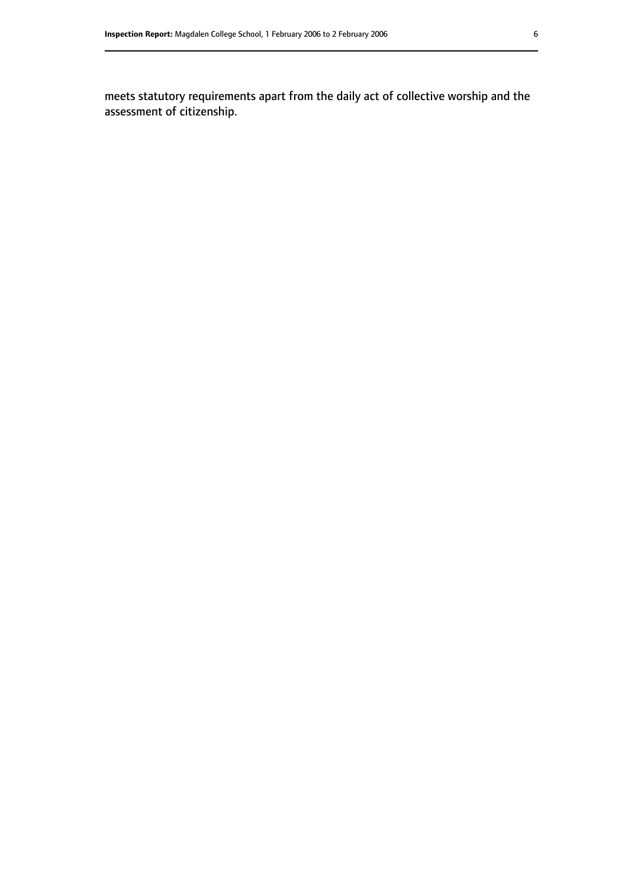meets statutory requirements apart from the daily act of collective worship and the assessment of citizenship.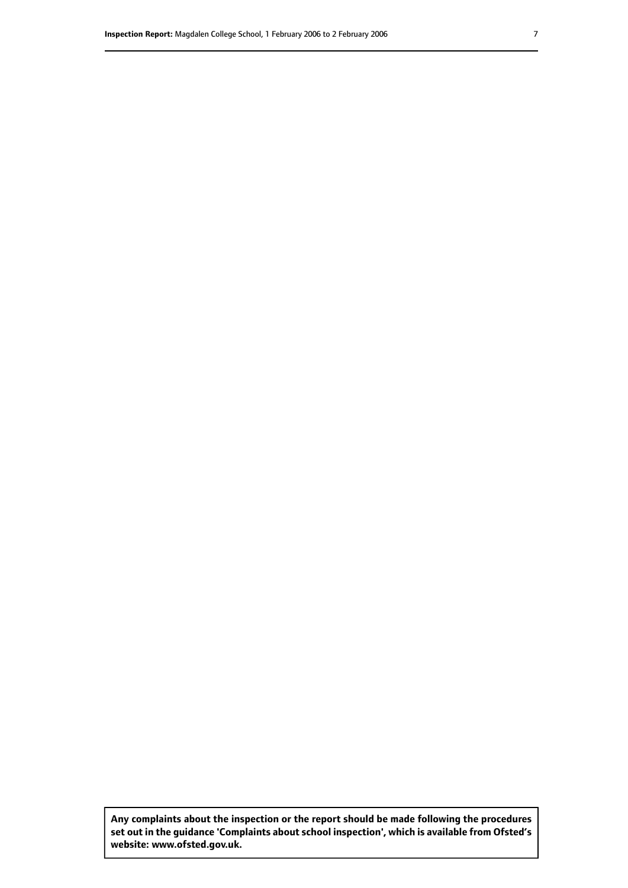**Any complaints about the inspection or the report should be made following the procedures set out inthe guidance 'Complaints about school inspection', whichis available from Ofsted's website: www.ofsted.gov.uk.**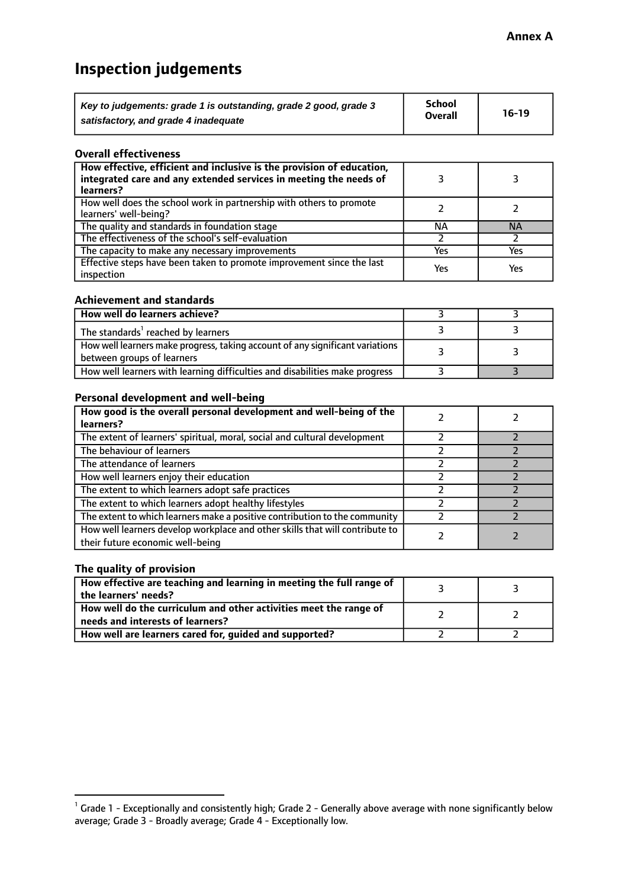# **Inspection judgements**

| Key to judgements: grade 1 is outstanding, grade 2 good, grade 3 | School<br><b>Overall</b> | $16-19$ |
|------------------------------------------------------------------|--------------------------|---------|
| satisfactory, and grade 4 inadequate                             |                          |         |

#### **Overall effectiveness**

| How effective, efficient and inclusive is the provision of education,<br>integrated care and any extended services in meeting the needs of<br>learners? |     |           |
|---------------------------------------------------------------------------------------------------------------------------------------------------------|-----|-----------|
| How well does the school work in partnership with others to promote<br>learners' well-being?                                                            |     |           |
| The quality and standards in foundation stage                                                                                                           | ΝA  | <b>NA</b> |
| The effectiveness of the school's self-evaluation                                                                                                       |     |           |
| The capacity to make any necessary improvements                                                                                                         | Yes | Yes       |
| Effective steps have been taken to promote improvement since the last<br>inspection                                                                     | Yes | Yes       |

#### **Achievement and standards**

| How well do learners achieve?                                                                                 |  |
|---------------------------------------------------------------------------------------------------------------|--|
| The standards <sup>1</sup> reached by learners                                                                |  |
| How well learners make progress, taking account of any significant variations  <br>between groups of learners |  |
| How well learners with learning difficulties and disabilities make progress                                   |  |

#### **Personal development and well-being**

| How good is the overall personal development and well-being of the<br>learners?                                  |  |
|------------------------------------------------------------------------------------------------------------------|--|
| The extent of learners' spiritual, moral, social and cultural development                                        |  |
| The behaviour of learners                                                                                        |  |
| The attendance of learners                                                                                       |  |
| How well learners enjoy their education                                                                          |  |
| The extent to which learners adopt safe practices                                                                |  |
| The extent to which learners adopt healthy lifestyles                                                            |  |
| The extent to which learners make a positive contribution to the community                                       |  |
| How well learners develop workplace and other skills that will contribute to<br>their future economic well-being |  |

#### **The quality of provision**

| How effective are teaching and learning in meeting the full range of<br>the learners' needs?          |  |
|-------------------------------------------------------------------------------------------------------|--|
| How well do the curriculum and other activities meet the range of<br>needs and interests of learners? |  |
| How well are learners cared for, guided and supported?                                                |  |

 $^1$  Grade 1 - Exceptionally and consistently high; Grade 2 - Generally above average with none significantly below average; Grade 3 - Broadly average; Grade 4 - Exceptionally low.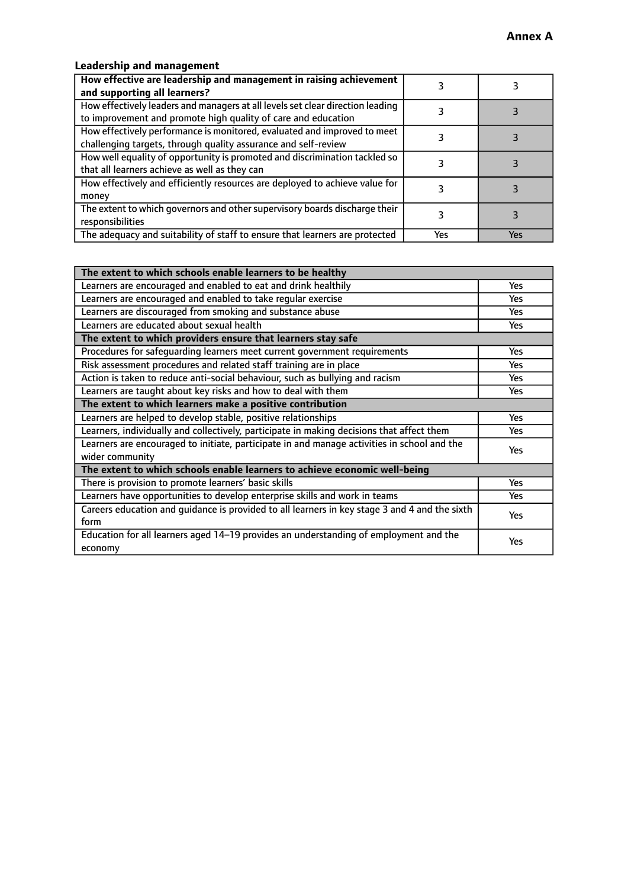#### **Leadership and management**

| How effective are leadership and management in raising achievement<br>and supporting all learners?                                              |     |     |
|-------------------------------------------------------------------------------------------------------------------------------------------------|-----|-----|
| How effectively leaders and managers at all levels set clear direction leading<br>to improvement and promote high quality of care and education |     |     |
| How effectively performance is monitored, evaluated and improved to meet<br>challenging targets, through quality assurance and self-review      |     |     |
| How well equality of opportunity is promoted and discrimination tackled so<br>that all learners achieve as well as they can                     |     |     |
| How effectively and efficiently resources are deployed to achieve value for<br>money                                                            |     |     |
| The extent to which governors and other supervisory boards discharge their<br>responsibilities                                                  |     |     |
| The adequacy and suitability of staff to ensure that learners are protected                                                                     | Yes | Yes |

| The extent to which schools enable learners to be healthy                                     |            |
|-----------------------------------------------------------------------------------------------|------------|
| Learners are encouraged and enabled to eat and drink healthily                                | Yes        |
| Learners are encouraged and enabled to take regular exercise                                  | <b>Yes</b> |
| Learners are discouraged from smoking and substance abuse                                     | Yes        |
| Learners are educated about sexual health                                                     | Yes        |
| The extent to which providers ensure that learners stay safe                                  |            |
| Procedures for safequarding learners meet current government requirements                     | Yes        |
| Risk assessment procedures and related staff training are in place                            | <b>Yes</b> |
| Action is taken to reduce anti-social behaviour, such as bullying and racism                  | Yes        |
| Learners are taught about key risks and how to deal with them                                 | Yes        |
| The extent to which learners make a positive contribution                                     |            |
| Learners are helped to develop stable, positive relationships                                 | <b>Yes</b> |
| Learners, individually and collectively, participate in making decisions that affect them     | <b>Yes</b> |
| Learners are encouraged to initiate, participate in and manage activities in school and the   | Yes        |
| wider community                                                                               |            |
| The extent to which schools enable learners to achieve economic well-being                    |            |
| There is provision to promote learners' basic skills                                          | Yes        |
| Learners have opportunities to develop enterprise skills and work in teams                    | Yes        |
| Careers education and quidance is provided to all learners in key stage 3 and 4 and the sixth | Yes        |
| form                                                                                          |            |
| Education for all learners aged 14-19 provides an understanding of employment and the         | Yes        |
| economy                                                                                       |            |